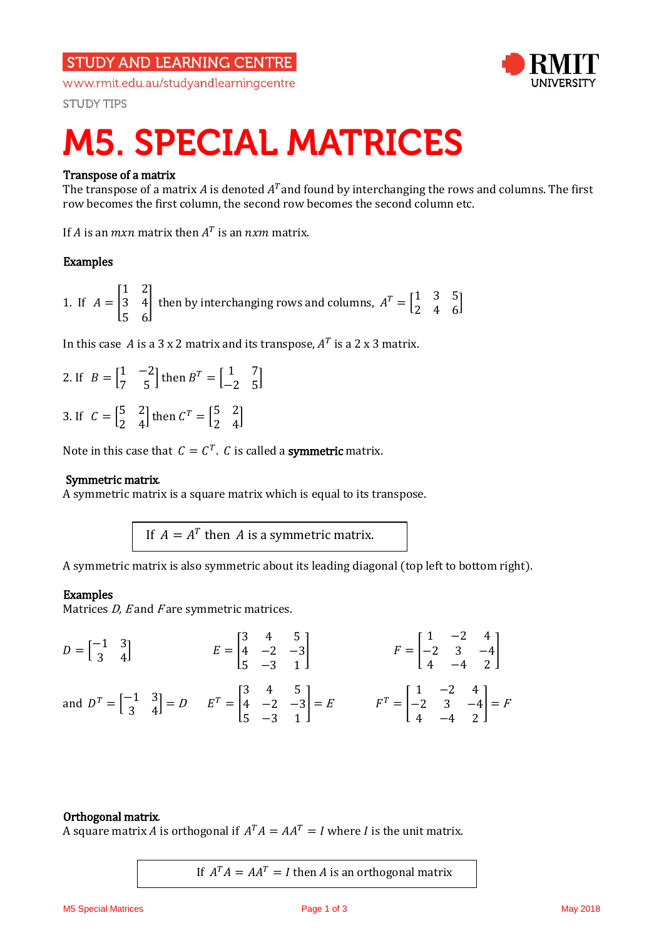## **STUDY AND LEARNING CENTRE**

www.rmit.edu.au/studyandlearningcentre



**STUDY TIPS** 

# **M5. SPECIAL MATRICES**

### Transpose of a matrix

The transpose of a matrix A is denoted  $A<sup>T</sup>$  and found by interchanging the rows and columns. The first row becomes the first column, the second row becomes the second column etc.

If A is an  $mxn$  matrix then  $A<sup>T</sup>$  is an  $nxm$  matrix.

### Examples

1. If 
$$
A = \begin{bmatrix} 1 & 2 \\ 3 & 4 \\ 5 & 6 \end{bmatrix}
$$
 then by interchanging rows and columns,  $A^T = \begin{bmatrix} 1 & 3 & 5 \\ 2 & 4 & 6 \end{bmatrix}$ 

In this case A is a 3 x 2 matrix and its transpose,  $A<sup>T</sup>$  is a 2 x 3 matrix.

2. If 
$$
B = \begin{bmatrix} 1 & -2 \\ 7 & 5 \end{bmatrix}
$$
 then  $B^T = \begin{bmatrix} 1 & 7 \\ -2 & 5 \end{bmatrix}$ 

3. If  $C = \begin{bmatrix} 5 & 2 \\ 2 & 4 \end{bmatrix}$  $\begin{bmatrix} 5 & 2 \\ 2 & 4 \end{bmatrix}$  then  $C^T = \begin{bmatrix} 5 & 2 \\ 2 & 4 \end{bmatrix}$  $\begin{bmatrix} 5 & 2 \\ 2 & 4 \end{bmatrix}$ 

Note in this case that  $C = C^T$ . C is called a **symmetric** matrix.

#### Symmetric matrix.

A symmetric matrix is a square matrix which is equal to its transpose.

If  $A = A^T$  then A is a symmetric matrix.

A symmetric matrix is also symmetric about its leading diagonal (top left to bottom right).

#### Examples

Matrices  $D$ , E and F are symmetric matrices.

$$
D = \begin{bmatrix} -1 & 3 \\ 3 & 4 \end{bmatrix} \qquad E = \begin{bmatrix} 3 & 4 & 5 \\ 4 & -2 & -3 \\ 5 & -3 & 1 \end{bmatrix} \qquad F = \begin{bmatrix} 1 & -2 & 4 \\ -2 & 3 & -4 \\ 4 & -4 & 2 \end{bmatrix}
$$
  
and 
$$
D^{T} = \begin{bmatrix} -1 & 3 \\ 3 & 4 \end{bmatrix} = D \qquad E^{T} = \begin{bmatrix} 3 & 4 & 5 \\ 4 & -2 & -3 \\ 5 & -3 & 1 \end{bmatrix} = E \qquad F^{T} = \begin{bmatrix} 1 & -2 & 4 \\ -2 & 3 & -4 \\ 4 & -4 & 2 \end{bmatrix} = F
$$

#### Orthogonal matrix.

A square matrix A is orthogonal if  $A^T A = AA^T = I$  where I is the unit matrix.

If  $A^T A = AA^T = I$  then A is an orthogonal matrix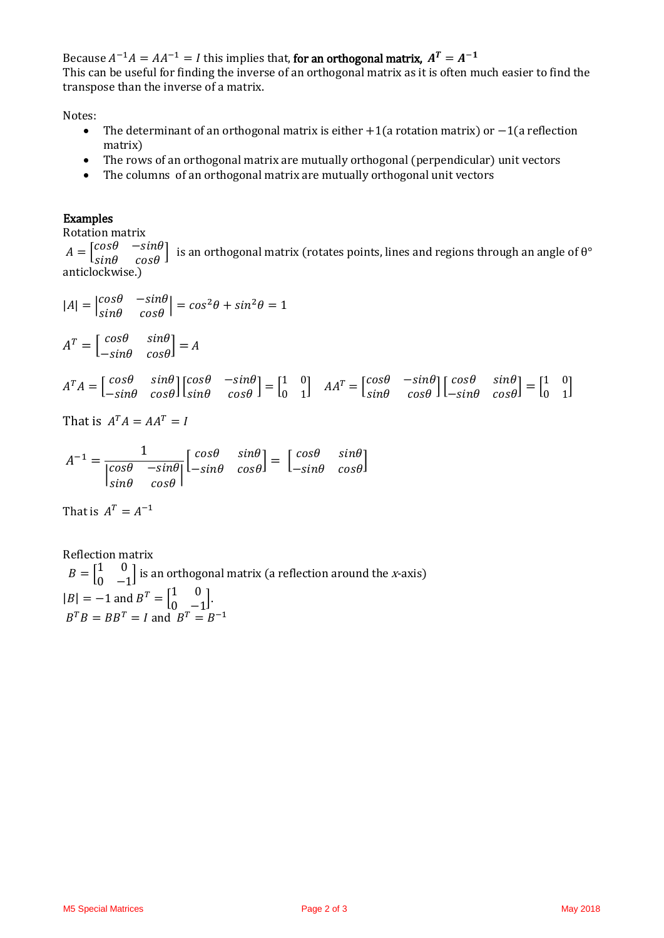Because  $A^{-1}A = AA^{-1} = I$  this implies that, for an orthogonal matrix,  $A^{T} = A^{-1}$ This can be useful for finding the inverse of an orthogonal matrix as it is often much easier to find the transpose than the inverse of a matrix.

Notes:

- The determinant of an orthogonal matrix is either +1(a rotation matrix) or −1(a reflection matrix)
- The rows of an orthogonal matrix are mutually orthogonal (perpendicular) unit vectors
- The columns of an orthogonal matrix are mutually orthogonal unit vectors

#### Examples

Rotation matrix

 $A = \begin{bmatrix} cos\theta & -sin\theta \\ sin\theta & cos\theta \end{bmatrix}$  is an orthogonal matrix (rotates points, lines and regions through an angle of  $\theta^{\circ}$ anticlockwise.)

$$
|A| = \begin{vmatrix} \cos\theta & -\sin\theta \\ \sin\theta & \cos\theta \end{vmatrix} = \cos^2\theta + \sin^2\theta = 1
$$

$$
AT = \begin{bmatrix} cos\theta & sin\theta \\ -sin\theta & cos\theta \end{bmatrix} = A
$$

$$
A^T A = \begin{bmatrix} \cos\theta & \sin\theta \\ -\sin\theta & \cos\theta \end{bmatrix} \begin{bmatrix} \cos\theta & -\sin\theta \\ \sin\theta & \cos\theta \end{bmatrix} = \begin{bmatrix} 1 & 0 \\ 0 & 1 \end{bmatrix} \quad A A^T = \begin{bmatrix} \cos\theta & -\sin\theta \\ \sin\theta & \cos\theta \end{bmatrix} \begin{bmatrix} \cos\theta & \sin\theta \\ -\sin\theta & \cos\theta \end{bmatrix} = \begin{bmatrix} 1 & 0 \\ 0 & 1 \end{bmatrix}
$$

That is  $A^T A = AA^T = I$ 

$$
A^{-1} = \frac{1}{\begin{vmatrix} \cos\theta & -\sin\theta \\ \sin\theta & \cos\theta \end{vmatrix}} \begin{bmatrix} \cos\theta & \sin\theta \\ -\sin\theta & \cos\theta \end{bmatrix} = \begin{bmatrix} \cos\theta & \sin\theta \\ -\sin\theta & \cos\theta \end{bmatrix}
$$

That is  $A^T = A^{-1}$ 

Reflection matrix  $B = \begin{bmatrix} 1 & 0 \\ 0 & 0 \end{bmatrix}$  $\begin{bmatrix} 1 & 0 \\ 0 & -1 \end{bmatrix}$  is an orthogonal matrix (a reflection around the *x*-axis)  $|B| = -1$  and  $B^{T} = \begin{bmatrix} 1 & 0 \\ 0 & 0 \end{bmatrix}$  $\begin{bmatrix} 1 & 0 \\ 0 & -1 \end{bmatrix}$ .  $B^T B = B B^T = I$  and  $B^T = B^{-1}$